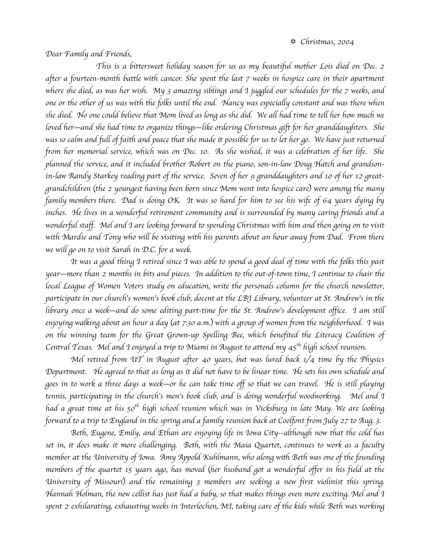*Dear Family and Friends,*

*This is a bittersweet holiday season for us as my beautiful mother Lois died on Dec. 2 after a fourteen-month battle with cancer. She spent the last 7 weeks in hospice care in their apartment where she died, as was her wish. My 3 amazing siblings and I juggled our schedules for the 7 weeks, and one or the other of us was with the folks until the end. Nancy was especially constant and was there when she died. No one could believe that Mom lived as long as she did. We all had time to tell her how much we loved her*—*and she had time to organize things*—*like ordering Christmas gift for her granddaughters. She was so calm and full of faith and peace that she made it possible for us to let her go. We have just returned from her memorial service, which was on Dec. 10. As she wished, it was a celebration of her life. She planned the service, and it included brother Robert on the piano, son-in-law Doug Hatch and grandsonin-law Randy Starkey reading part of the service. Seven of her 9 granddaughters and 10 of her 12 greatgrandchildren* (*the 2 youngest having been born since Mom went into hospice care*) *were among the many family members there. Dad is doing OK. It was so hard for him to see his wife of 64 years dying by inches. He lives in a wonderful retirement community and is surrounded by many caring friends and a wonderful staff. Mel and I are looking forward to spending Christmas with him and then going on to visit with Mardie and Tony who will be visiting with his parents about an hour away from Dad. From there we will go on to visit Sarah in D.C. for a week.*

*It was a good thing I retired since I was able to spend a good deal of time with the folks this past year*—*more than 2 months in bits and pieces. In addition to the out-of-town time, I continue to chair the*  local League of Women Voters study on education, write the personals column for the church newsletter, *participate in our church*'*s women*'*s book club, docent at the LBJ Library, volunteer at St. Andrew*'*s in the library once a week*—*and do some editing part-time for the St. Andrew*'*s development office. I am still enjoying walking about an hour a day* (*at 7:30 a.m.*) *with a group of women from the neighborhood. I was on the winning team for the Great Grown-up Spelling Bee, which benefited the Literacy Coalition of Central Texas. Mel and I enjoyed a trip to Miami in August to attend my 45th high school reunion.*

*Mel retired from UT in August after 40 years, but was lured back 1/4 time by the Physics Department. He agreed to that as long as it did not have to be linear time. He sets his own schedule and goes in to work a three days a week*—*or he can take time off so that we can travel. He is still playing tennis, participating in the church*'*s men*'*s book club, and is doing wonderful woodworking. Mel and I had a great time at his 50th high school reunion which was in Vicksburg in late May. We are looking forward to a trip to England in the spring and a family reunion back at Coolfont from July 27 to Aug. 3.*

*Beth, Eugene, Emily, and Ethan are enjoying life in Iowa City--although now that the cold has set in, it does make it more challenging. Beth, with the Maia Quartet, continues to work as a faculty member at the University of Iowa. Amy Appold Kuhlmann, who along with Beth was one of the founding members of the quartet 15 years ago, has moved* (*her husband got a wonderful offer in his field at the University of Missouri*) *and the remaining 3 members are seeking a new first violinist this spring. Hannah Holman, the new cellist has just had a baby, so that makes things even more exciting. Mel and I spent 2 exhilarating, exhausting weeks in Interlochen, MI, taking care of the kids while Beth was working*